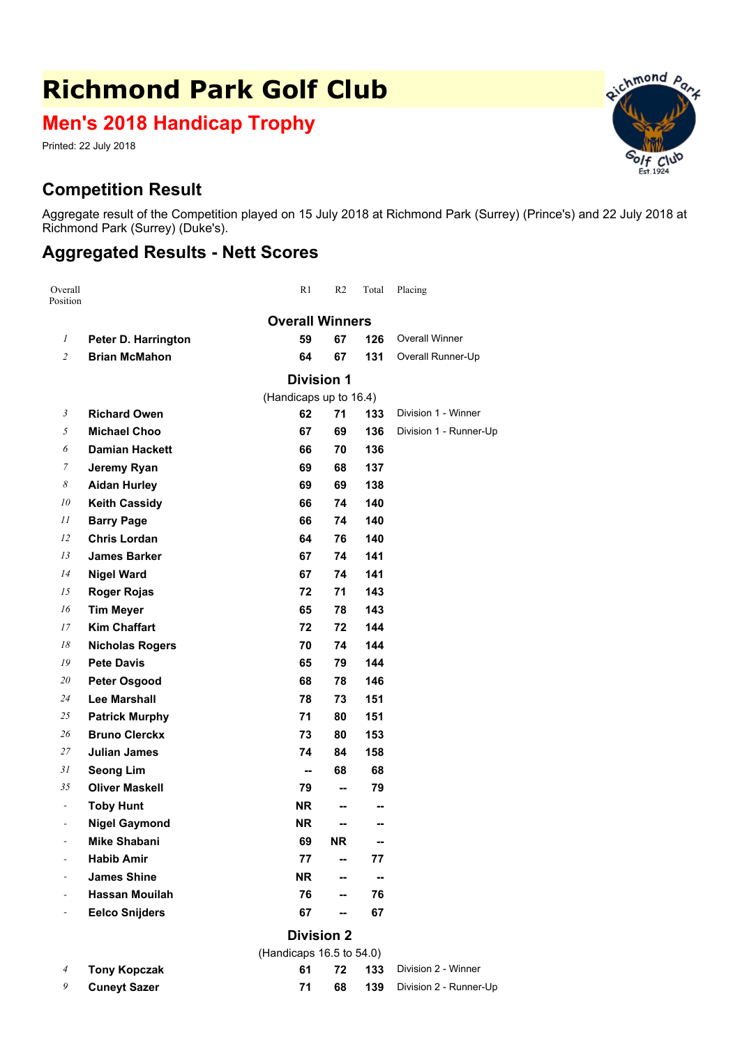## **Richmond Park Golf Club**

**Men's 2018 Handicap Trophy**

Printed: 22 July 2018

## **Competition Result**

Aggregate result of the Competition played on 15 July 2018 at Richmond Park (Surrey) (Prince's) and 22 July 2018 at Richmond Park (Surrey) (Duke's).

## **Aggregated Results - Nett Scores**

| Overall<br>Position          |                        | R1        | R <sub>2</sub> | Total | Placing                |  |  |  |
|------------------------------|------------------------|-----------|----------------|-------|------------------------|--|--|--|
|                              | <b>Overall Winners</b> |           |                |       |                        |  |  |  |
| $\mathfrak{1}$               | Peter D. Harrington    | 59        | 67             | 126   | <b>Overall Winner</b>  |  |  |  |
| $\overline{2}$               | <b>Brian McMahon</b>   | 64        | 67             | 131   | Overall Runner-Up      |  |  |  |
|                              | <b>Division 1</b>      |           |                |       |                        |  |  |  |
|                              | (Handicaps up to 16.4) |           |                |       |                        |  |  |  |
| 3                            | <b>Richard Owen</b>    | 62        | 71             | 133   | Division 1 - Winner    |  |  |  |
| 5                            | <b>Michael Choo</b>    | 67        | 69             | 136   | Division 1 - Runner-Up |  |  |  |
| 6                            | <b>Damian Hackett</b>  | 66        | 70             | 136   |                        |  |  |  |
| 7                            | Jeremy Ryan            | 69        | 68             | 137   |                        |  |  |  |
| 8                            | <b>Aidan Hurley</b>    | 69        | 69             | 138   |                        |  |  |  |
| 10                           | <b>Keith Cassidy</b>   | 66        | 74             | 140   |                        |  |  |  |
| 11                           | <b>Barry Page</b>      | 66        | 74             | 140   |                        |  |  |  |
| 12                           | <b>Chris Lordan</b>    | 64        | 76             | 140   |                        |  |  |  |
| 13                           | <b>James Barker</b>    | 67        | 74             | 141   |                        |  |  |  |
| 14                           | <b>Nigel Ward</b>      | 67        | 74             | 141   |                        |  |  |  |
| 15                           | <b>Roger Rojas</b>     | 72        | 71             | 143   |                        |  |  |  |
| 16                           | <b>Tim Meyer</b>       | 65        | 78             | 143   |                        |  |  |  |
| 17                           | <b>Kim Chaffart</b>    | 72        | 72             | 144   |                        |  |  |  |
| 18                           | <b>Nicholas Rogers</b> | 70        | 74             | 144   |                        |  |  |  |
| 19                           | <b>Pete Davis</b>      | 65        | 79             | 144   |                        |  |  |  |
| 20                           | <b>Peter Osgood</b>    | 68        | 78             | 146   |                        |  |  |  |
| 24                           | <b>Lee Marshall</b>    | 78        | 73             | 151   |                        |  |  |  |
| 25                           | <b>Patrick Murphy</b>  | 71        | 80             | 151   |                        |  |  |  |
| 26                           | <b>Bruno Clerckx</b>   | 73        | 80             | 153   |                        |  |  |  |
| 27                           | <b>Julian James</b>    | 74        | 84             | 158   |                        |  |  |  |
| 31                           | <b>Seong Lim</b>       | --        | 68             | 68    |                        |  |  |  |
| 35                           | <b>Oliver Maskell</b>  | 79        | -−             | 79    |                        |  |  |  |
| $\overline{\phantom{a}}$     | <b>Toby Hunt</b>       | NR.       | --             | --    |                        |  |  |  |
| $\qquad \qquad \blacksquare$ | <b>Nigel Gaymond</b>   | NR        | --             | --    |                        |  |  |  |
| -                            | Mike Shabani           | 69        | <b>NR</b>      | --    |                        |  |  |  |
|                              | <b>Habib Amir</b>      | 77        | --             | 77    |                        |  |  |  |
|                              | <b>James Shine</b>     | <b>NR</b> | --             | --    |                        |  |  |  |
|                              | <b>Hassan Mouilah</b>  | 76        | -−             | 76    |                        |  |  |  |
|                              | <b>Eelco Snijders</b>  | 67        | --             | 67    |                        |  |  |  |
|                              | <b>Division 2</b>      |           |                |       |                        |  |  |  |

|                           | (Handicaps 16.5 to $54.0$ ) |     |  |                                      |
|---------------------------|-----------------------------|-----|--|--------------------------------------|
| $4$ Tony Kopczak          |                             |     |  | <b>61 72 133</b> Division 2 - Winner |
| <sup>9</sup> Cuneyt Sazer |                             | 68. |  | 139 Division 2 - Runner-Up           |